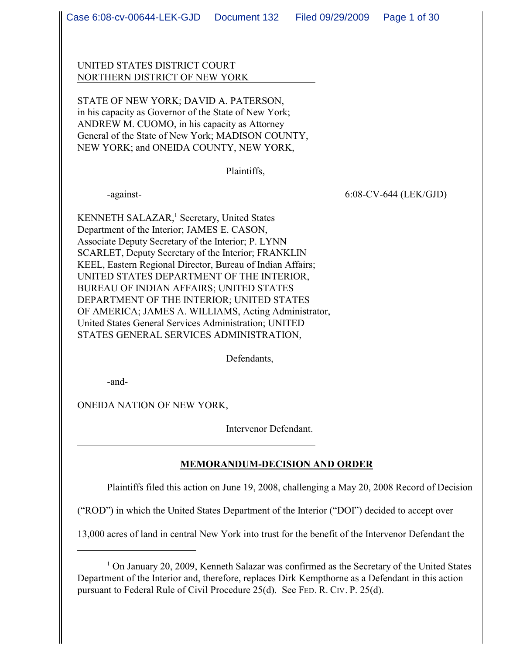UNITED STATES DISTRICT COURT NORTHERN DISTRICT OF NEW YORK

STATE OF NEW YORK; DAVID A. PATERSON, in his capacity as Governor of the State of New York; ANDREW M. CUOMO, in his capacity as Attorney General of the State of New York; MADISON COUNTY, NEW YORK; and ONEIDA COUNTY, NEW YORK,

Plaintiffs,

-against- 6:08-CV-644 (LEK/GJD)

KENNETH SALAZAR,<sup>1</sup> Secretary, United States Department of the Interior; JAMES E. CASON, Associate Deputy Secretary of the Interior; P. LYNN SCARLET, Deputy Secretary of the Interior; FRANKLIN KEEL, Eastern Regional Director, Bureau of Indian Affairs; UNITED STATES DEPARTMENT OF THE INTERIOR, BUREAU OF INDIAN AFFAIRS; UNITED STATES DEPARTMENT OF THE INTERIOR; UNITED STATES OF AMERICA; JAMES A. WILLIAMS, Acting Administrator, United States General Services Administration; UNITED STATES GENERAL SERVICES ADMINISTRATION,

Defendants,

-and-

ONEIDA NATION OF NEW YORK,

Intervenor Defendant.

 $\overline{a}$ 

## **MEMORANDUM-DECISION AND ORDER**

Plaintiffs filed this action on June 19, 2008, challenging a May 20, 2008 Record of Decision

("ROD") in which the United States Department of the Interior ("DOI") decided to accept over

13,000 acres of land in central New York into trust for the benefit of the Intervenor Defendant the

<sup>&</sup>lt;sup>1</sup> On January 20, 2009, Kenneth Salazar was confirmed as the Secretary of the United States Department of the Interior and, therefore, replaces Dirk Kempthorne as a Defendant in this action pursuant to Federal Rule of Civil Procedure 25(d). See FED. R. CIV. P. 25(d).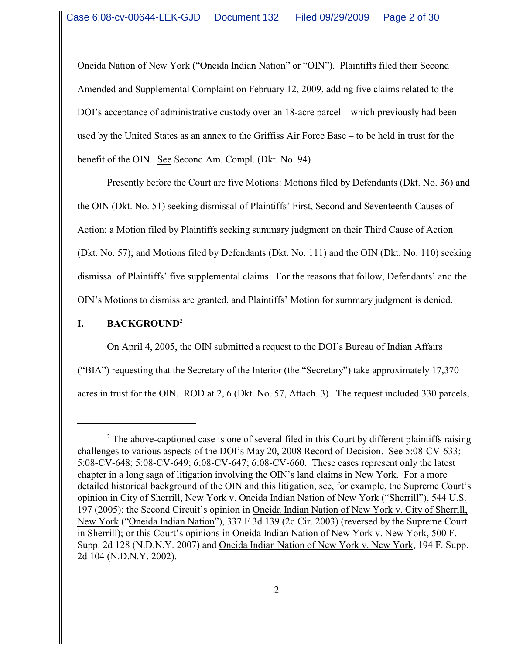Oneida Nation of New York ("Oneida Indian Nation" or "OIN"). Plaintiffs filed their Second Amended and Supplemental Complaint on February 12, 2009, adding five claims related to the DOI's acceptance of administrative custody over an 18-acre parcel – which previously had been used by the United States as an annex to the Griffiss Air Force Base – to be held in trust for the benefit of the OIN. See Second Am. Compl. (Dkt. No. 94).

Presently before the Court are five Motions: Motions filed by Defendants (Dkt. No. 36) and the OIN (Dkt. No. 51) seeking dismissal of Plaintiffs' First, Second and Seventeenth Causes of Action; a Motion filed by Plaintiffs seeking summary judgment on their Third Cause of Action (Dkt. No. 57); and Motions filed by Defendants (Dkt. No. 111) and the OIN (Dkt. No. 110) seeking dismissal of Plaintiffs' five supplemental claims. For the reasons that follow, Defendants' and the OIN's Motions to dismiss are granted, and Plaintiffs' Motion for summary judgment is denied.

# **I. BACKGROUND**<sup>2</sup>

On April 4, 2005, the OIN submitted a request to the DOI's Bureau of Indian Affairs ("BIA") requesting that the Secretary of the Interior (the "Secretary") take approximately 17,370 acres in trust for the OIN. ROD at 2, 6 (Dkt. No. 57, Attach. 3). The request included 330 parcels,

<sup>&</sup>lt;sup>2</sup> The above-captioned case is one of several filed in this Court by different plaintiffs raising challenges to various aspects of the DOI's May 20, 2008 Record of Decision. See 5:08-CV-633; 5:08-CV-648; 5:08-CV-649; 6:08-CV-647; 6:08-CV-660. These cases represent only the latest chapter in a long saga of litigation involving the OIN's land claims in New York. For a more detailed historical background of the OIN and this litigation, see, for example, the Supreme Court's opinion in City of Sherrill, New York v. Oneida Indian Nation of New York ("Sherrill"), 544 U.S. 197 (2005); the Second Circuit's opinion in Oneida Indian Nation of New York v. City of Sherrill, New York ("Oneida Indian Nation"), 337 F.3d 139 (2d Cir. 2003) (reversed by the Supreme Court in Sherrill); or this Court's opinions in Oneida Indian Nation of New York v. New York, 500 F. Supp. 2d 128 (N.D.N.Y. 2007) and Oneida Indian Nation of New York v. New York, 194 F. Supp. 2d 104 (N.D.N.Y. 2002).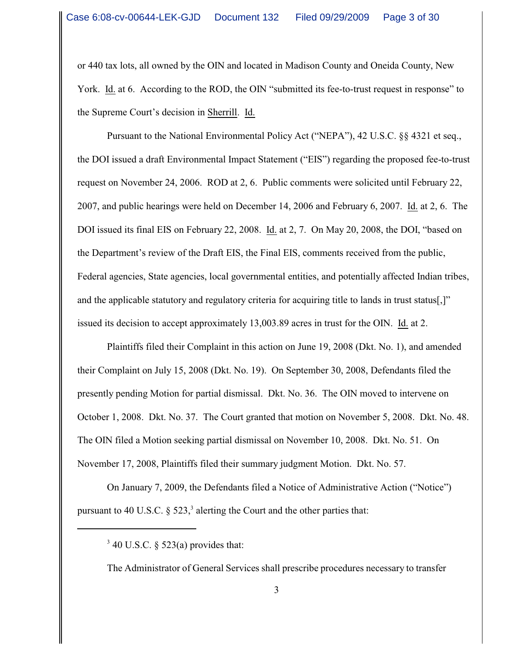or 440 tax lots, all owned by the OIN and located in Madison County and Oneida County, New York. Id. at 6. According to the ROD, the OIN "submitted its fee-to-trust request in response" to the Supreme Court's decision in Sherrill. Id.

Pursuant to the National Environmental Policy Act ("NEPA"), 42 U.S.C. §§ 4321 et seq., the DOI issued a draft Environmental Impact Statement ("EIS") regarding the proposed fee-to-trust request on November 24, 2006. ROD at 2, 6. Public comments were solicited until February 22, 2007, and public hearings were held on December 14, 2006 and February 6, 2007. Id. at 2, 6. The DOI issued its final EIS on February 22, 2008. Id. at 2, 7. On May 20, 2008, the DOI, "based on the Department's review of the Draft EIS, the Final EIS, comments received from the public, Federal agencies, State agencies, local governmental entities, and potentially affected Indian tribes, and the applicable statutory and regulatory criteria for acquiring title to lands in trust status[,]" issued its decision to accept approximately 13,003.89 acres in trust for the OIN. Id. at 2.

Plaintiffs filed their Complaint in this action on June 19, 2008 (Dkt. No. 1), and amended their Complaint on July 15, 2008 (Dkt. No. 19). On September 30, 2008, Defendants filed the presently pending Motion for partial dismissal. Dkt. No. 36. The OIN moved to intervene on October 1, 2008. Dkt. No. 37. The Court granted that motion on November 5, 2008. Dkt. No. 48. The OIN filed a Motion seeking partial dismissal on November 10, 2008. Dkt. No. 51. On November 17, 2008, Plaintiffs filed their summary judgment Motion. Dkt. No. 57.

On January 7, 2009, the Defendants filed a Notice of Administrative Action ("Notice") pursuant to 40 U.S.C.  $\S$  523,<sup>3</sup> alerting the Court and the other parties that:

The Administrator of General Services shall prescribe procedures necessary to transfer

 $3$  40 U.S.C. § 523(a) provides that: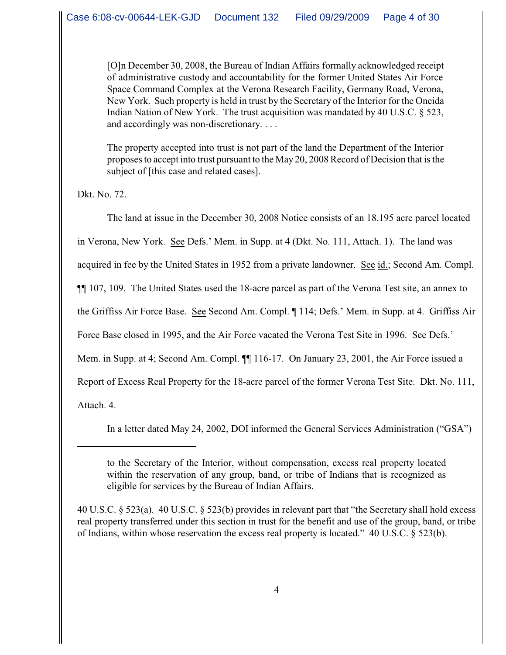[O]n December 30, 2008, the Bureau of Indian Affairs formally acknowledged receipt of administrative custody and accountability for the former United States Air Force Space Command Complex at the Verona Research Facility, Germany Road, Verona, New York. Such property is held in trust by the Secretary of the Interior for the Oneida Indian Nation of New York. The trust acquisition was mandated by 40 U.S.C.  $\S$  523, and accordingly was non-discretionary. . . .

The property accepted into trust is not part of the land the Department of the Interior proposes to accept into trust pursuant to the May 20, 2008 Record of Decision that is the subject of [this case and related cases].

Dkt. No. 72.

The land at issue in the December 30, 2008 Notice consists of an 18.195 acre parcel located in Verona, New York. See Defs.' Mem. in Supp. at 4 (Dkt. No. 111, Attach. 1). The land was acquired in fee by the United States in 1952 from a private landowner. See id.; Second Am. Compl. ¶¶ 107, 109. The United States used the 18-acre parcel as part of the Verona Test site, an annex to the Griffiss Air Force Base. See Second Am. Compl. ¶ 114; Defs.' Mem. in Supp. at 4. Griffiss Air Force Base closed in 1995, and the Air Force vacated the Verona Test Site in 1996. See Defs.' Mem. in Supp. at 4; Second Am. Compl.  $\P\P$  116-17. On January 23, 2001, the Air Force issued a Report of Excess Real Property for the 18-acre parcel of the former Verona Test Site. Dkt. No. 111, Attach. 4.

In a letter dated May 24, 2002, DOI informed the General Services Administration ("GSA")

40 U.S.C. § 523(a). 40 U.S.C. § 523(b) provides in relevant part that "the Secretary shall hold excess real property transferred under this section in trust for the benefit and use of the group, band, or tribe of Indians, within whose reservation the excess real property is located." 40 U.S.C. § 523(b).

to the Secretary of the Interior, without compensation, excess real property located within the reservation of any group, band, or tribe of Indians that is recognized as eligible for services by the Bureau of Indian Affairs.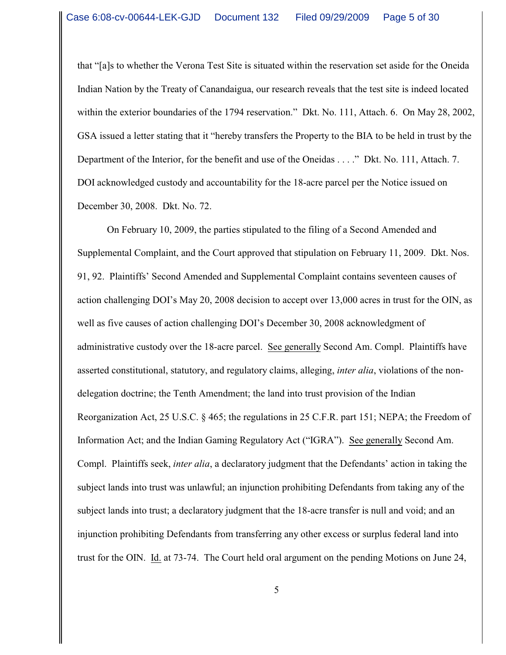that "[a]s to whether the Verona Test Site is situated within the reservation set aside for the Oneida Indian Nation by the Treaty of Canandaigua, our research reveals that the test site is indeed located within the exterior boundaries of the 1794 reservation." Dkt. No. 111, Attach. 6. On May 28, 2002, GSA issued a letter stating that it "hereby transfers the Property to the BIA to be held in trust by the Department of the Interior, for the benefit and use of the Oneidas . . . ." Dkt. No. 111, Attach. 7. DOI acknowledged custody and accountability for the 18-acre parcel per the Notice issued on December 30, 2008. Dkt. No. 72.

On February 10, 2009, the parties stipulated to the filing of a Second Amended and Supplemental Complaint, and the Court approved that stipulation on February 11, 2009. Dkt. Nos. 91, 92. Plaintiffs' Second Amended and Supplemental Complaint contains seventeen causes of action challenging DOI's May 20, 2008 decision to accept over 13,000 acres in trust for the OIN, as well as five causes of action challenging DOI's December 30, 2008 acknowledgment of administrative custody over the 18-acre parcel. See generally Second Am. Compl. Plaintiffs have asserted constitutional, statutory, and regulatory claims, alleging, *inter alia*, violations of the nondelegation doctrine; the Tenth Amendment; the land into trust provision of the Indian Reorganization Act, 25 U.S.C. § 465; the regulations in 25 C.F.R. part 151; NEPA; the Freedom of Information Act; and the Indian Gaming Regulatory Act ("IGRA"). See generally Second Am. Compl. Plaintiffs seek, *inter alia*, a declaratory judgment that the Defendants' action in taking the subject lands into trust was unlawful; an injunction prohibiting Defendants from taking any of the subject lands into trust; a declaratory judgment that the 18-acre transfer is null and void; and an injunction prohibiting Defendants from transferring any other excess or surplus federal land into trust for the OIN. Id. at 73-74. The Court held oral argument on the pending Motions on June 24,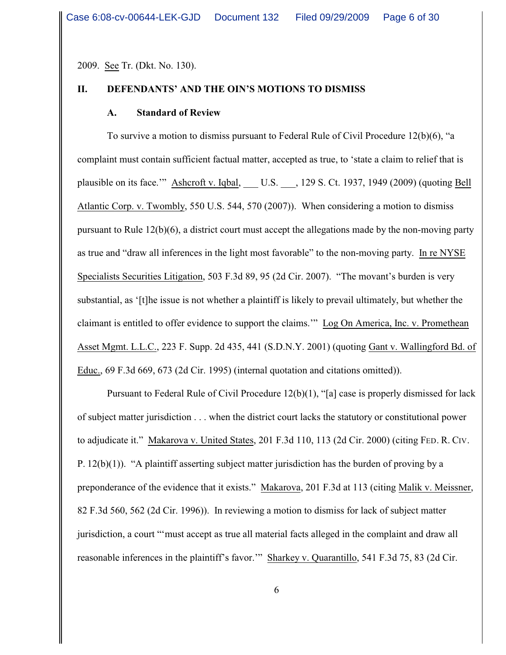2009. See Tr. (Dkt. No. 130).

#### **II. DEFENDANTS' AND THE OIN'S MOTIONS TO DISMISS**

#### **A. Standard of Review**

To survive a motion to dismiss pursuant to Federal Rule of Civil Procedure 12(b)(6), "a complaint must contain sufficient factual matter, accepted as true, to 'state a claim to relief that is plausible on its face." Ashcroft v. Iqbal, U.S. , 129 S. Ct. 1937, 1949 (2009) (quoting Bell Atlantic Corp. v. Twombly, 550 U.S. 544, 570 (2007)). When considering a motion to dismiss pursuant to Rule 12(b)(6), a district court must accept the allegations made by the non-moving party as true and "draw all inferences in the light most favorable" to the non-moving party. In re NYSE Specialists Securities Litigation, 503 F.3d 89, 95 (2d Cir. 2007). "The movant's burden is very substantial, as '[t]he issue is not whether a plaintiff is likely to prevail ultimately, but whether the claimant is entitled to offer evidence to support the claims.'" Log On America, Inc. v. Promethean Asset Mgmt. L.L.C., 223 F. Supp. 2d 435, 441 (S.D.N.Y. 2001) (quoting Gant v. Wallingford Bd. of Educ., 69 F.3d 669, 673 (2d Cir. 1995) (internal quotation and citations omitted)).

Pursuant to Federal Rule of Civil Procedure  $12(b)(1)$ , "[a] case is properly dismissed for lack of subject matter jurisdiction . . . when the district court lacks the statutory or constitutional power to adjudicate it." Makarova v. United States, 201 F.3d 110, 113 (2d Cir. 2000) (citing FED. R. CIV. P. 12(b)(1)). "A plaintiff asserting subject matter jurisdiction has the burden of proving by a preponderance of the evidence that it exists." Makarova, 201 F.3d at 113 (citing Malik v. Meissner, 82 F.3d 560, 562 (2d Cir. 1996)). In reviewing a motion to dismiss for lack of subject matter jurisdiction, a court "'must accept as true all material facts alleged in the complaint and draw all reasonable inferences in the plaintiff's favor.'" Sharkey v. Quarantillo, 541 F.3d 75, 83 (2d Cir.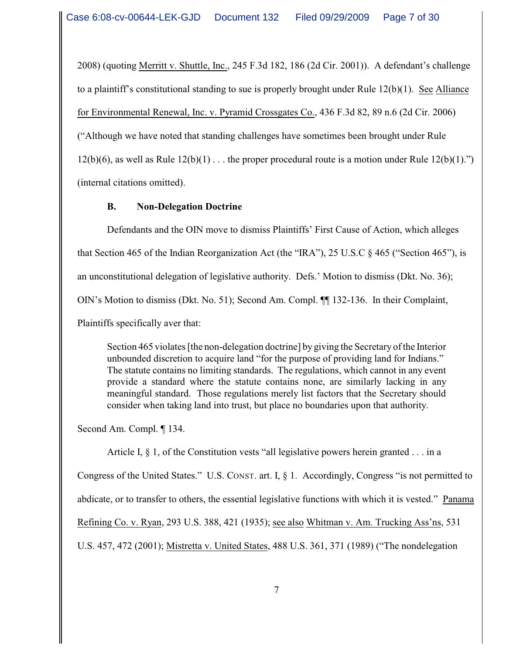2008) (quoting Merritt v. Shuttle, Inc., 245 F.3d 182, 186 (2d Cir. 2001)). A defendant's challenge to a plaintiff's constitutional standing to sue is properly brought under Rule 12(b)(1). See Alliance for Environmental Renewal, Inc. v. Pyramid Crossgates Co., 436 F.3d 82, 89 n.6 (2d Cir. 2006) ("Although we have noted that standing challenges have sometimes been brought under Rule 12(b)(6), as well as Rule  $12(b)(1)$ ... the proper procedural route is a motion under Rule  $12(b)(1)$ .") (internal citations omitted).

## **B. Non-Delegation Doctrine**

Defendants and the OIN move to dismiss Plaintiffs' First Cause of Action, which alleges that Section 465 of the Indian Reorganization Act (the "IRA"), 25 U.S.C § 465 ("Section 465"), is an unconstitutional delegation of legislative authority. Defs.' Motion to dismiss (Dkt. No. 36); OIN's Motion to dismiss (Dkt. No. 51); Second Am. Compl. ¶¶ 132-136. In their Complaint, Plaintiffs specifically aver that:

Section 465 violates [the non-delegation doctrine] by giving the Secretary of the Interior unbounded discretion to acquire land "for the purpose of providing land for Indians." The statute contains no limiting standards. The regulations, which cannot in any event provide a standard where the statute contains none, are similarly lacking in any meaningful standard. Those regulations merely list factors that the Secretary should consider when taking land into trust, but place no boundaries upon that authority.

Second Am. Compl. ¶ 134.

Article I,  $\S$  1, of the Constitution vests "all legislative powers herein granted . . . in a Congress of the United States." U.S. CONST. art. I, § 1. Accordingly, Congress "is not permitted to abdicate, or to transfer to others, the essential legislative functions with which it is vested." Panama Refining Co. v. Ryan, 293 U.S. 388, 421 (1935); see also Whitman v. Am. Trucking Ass'ns, 531 U.S. 457, 472 (2001); Mistretta v. United States, 488 U.S. 361, 371 (1989) ("The nondelegation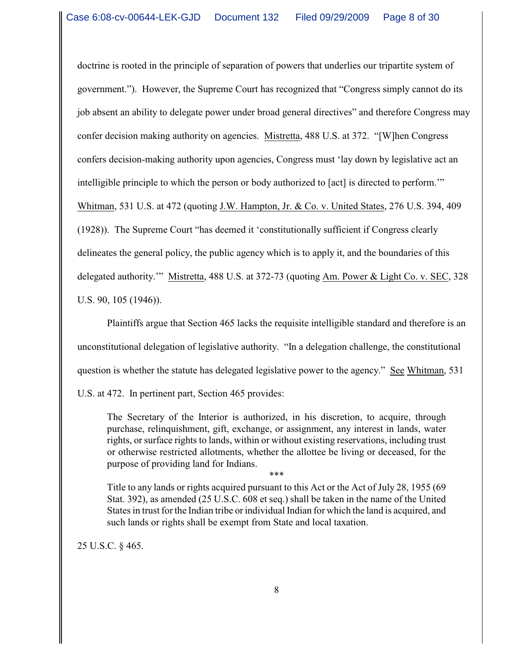doctrine is rooted in the principle of separation of powers that underlies our tripartite system of government."). However, the Supreme Court has recognized that "Congress simply cannot do its job absent an ability to delegate power under broad general directives" and therefore Congress may confer decision making authority on agencies. Mistretta, 488 U.S. at 372. "[W]hen Congress confers decision-making authority upon agencies, Congress must 'lay down by legislative act an intelligible principle to which the person or body authorized to [act] is directed to perform.'" Whitman, 531 U.S. at 472 (quoting J.W. Hampton, Jr. & Co. v. United States, 276 U.S. 394, 409 (1928)). The Supreme Court "has deemed it 'constitutionally sufficient if Congress clearly delineates the general policy, the public agency which is to apply it, and the boundaries of this delegated authority.'" Mistretta, 488 U.S. at 372-73 (quoting Am. Power & Light Co. v. SEC, 328 U.S. 90, 105 (1946)).

Plaintiffs argue that Section 465 lacks the requisite intelligible standard and therefore is an unconstitutional delegation of legislative authority. "In a delegation challenge, the constitutional question is whether the statute has delegated legislative power to the agency." See Whitman, 531 U.S. at 472. In pertinent part, Section 465 provides:

The Secretary of the Interior is authorized, in his discretion, to acquire, through purchase, relinquishment, gift, exchange, or assignment, any interest in lands, water rights, or surface rights to lands, within or without existing reservations, including trust or otherwise restricted allotments, whether the allottee be living or deceased, for the purpose of providing land for Indians.

\*\*\* Title to any lands or rights acquired pursuant to this Act or the Act of July 28, 1955 (69 Stat. 392), as amended (25 U.S.C. 608 et seq.) shall be taken in the name of the United States in trust for the Indian tribe or individual Indian for which the land is acquired, and such lands or rights shall be exempt from State and local taxation.

25 U.S.C. § 465.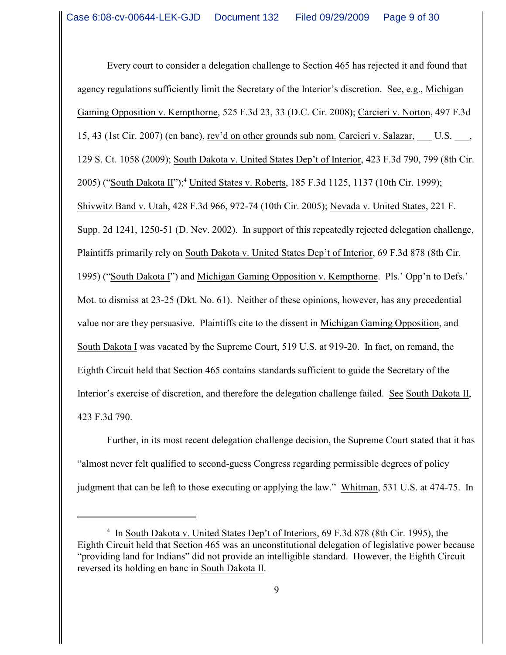Every court to consider a delegation challenge to Section 465 has rejected it and found that agency regulations sufficiently limit the Secretary of the Interior's discretion. See, e.g., Michigan Gaming Opposition v. Kempthorne, 525 F.3d 23, 33 (D.C. Cir. 2008); Carcieri v. Norton, 497 F.3d 15, 43 (1st Cir. 2007) (en banc), rev'd on other grounds sub nom. Carcieri v. Salazar, \_\_\_ U.S. \_\_\_, 129 S. Ct. 1058 (2009); South Dakota v. United States Dep't of Interior, 423 F.3d 790, 799 (8th Cir. 2005) ("South Dakota II");<sup>4</sup> United States v. Roberts, 185 F.3d 1125, 1137 (10th Cir. 1999); Shivwitz Band v. Utah, 428 F.3d 966, 972-74 (10th Cir. 2005); Nevada v. United States, 221 F. Supp. 2d 1241, 1250-51 (D. Nev. 2002). In support of this repeatedly rejected delegation challenge, Plaintiffs primarily rely on South Dakota v. United States Dep't of Interior, 69 F.3d 878 (8th Cir. 1995) ("South Dakota I") and Michigan Gaming Opposition v. Kempthorne. Pls.' Opp'n to Defs.' Mot. to dismiss at 23-25 (Dkt. No. 61). Neither of these opinions, however, has any precedential value nor are they persuasive. Plaintiffs cite to the dissent in Michigan Gaming Opposition, and South Dakota I was vacated by the Supreme Court, 519 U.S. at 919-20. In fact, on remand, the Eighth Circuit held that Section 465 contains standards sufficient to guide the Secretary of the Interior's exercise of discretion, and therefore the delegation challenge failed. See South Dakota II, 423 F.3d 790.

Further, in its most recent delegation challenge decision, the Supreme Court stated that it has "almost never felt qualified to second-guess Congress regarding permissible degrees of policy judgment that can be left to those executing or applying the law." Whitman, 531 U.S. at 474-75. In

<sup>&</sup>lt;sup>4</sup> In South Dakota v. United States Dep't of Interiors, 69 F.3d 878 (8th Cir. 1995), the Eighth Circuit held that Section 465 was an unconstitutional delegation of legislative power because "providing land for Indians" did not provide an intelligible standard. However, the Eighth Circuit reversed its holding en banc in South Dakota II.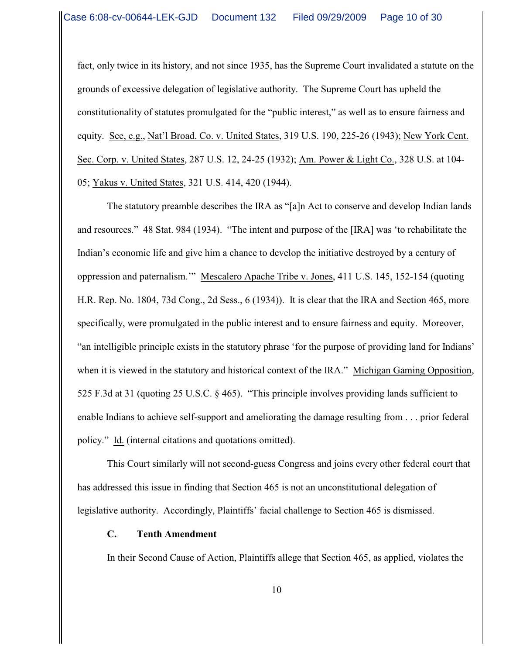fact, only twice in its history, and not since 1935, has the Supreme Court invalidated a statute on the grounds of excessive delegation of legislative authority. The Supreme Court has upheld the constitutionality of statutes promulgated for the "public interest," as well as to ensure fairness and equity. See, e.g., Nat'l Broad. Co. v. United States, 319 U.S. 190, 225-26 (1943); New York Cent. Sec. Corp. v. United States, 287 U.S. 12, 24-25 (1932); Am. Power & Light Co., 328 U.S. at 104- 05; Yakus v. United States, 321 U.S. 414, 420 (1944).

The statutory preamble describes the IRA as "[a]n Act to conserve and develop Indian lands and resources." 48 Stat. 984 (1934). "The intent and purpose of the [IRA] was 'to rehabilitate the Indian's economic life and give him a chance to develop the initiative destroyed by a century of oppression and paternalism.'" Mescalero Apache Tribe v. Jones, 411 U.S. 145, 152-154 (quoting H.R. Rep. No. 1804, 73d Cong., 2d Sess., 6 (1934)). It is clear that the IRA and Section 465, more specifically, were promulgated in the public interest and to ensure fairness and equity. Moreover, "an intelligible principle exists in the statutory phrase 'for the purpose of providing land for Indians' when it is viewed in the statutory and historical context of the IRA." Michigan Gaming Opposition, 525 F.3d at 31 (quoting 25 U.S.C. § 465). "This principle involves providing lands sufficient to enable Indians to achieve self-support and ameliorating the damage resulting from . . . prior federal policy." Id. (internal citations and quotations omitted).

This Court similarly will not second-guess Congress and joins every other federal court that has addressed this issue in finding that Section 465 is not an unconstitutional delegation of legislative authority. Accordingly, Plaintiffs' facial challenge to Section 465 is dismissed.

#### **C. Tenth Amendment**

In their Second Cause of Action, Plaintiffs allege that Section 465, as applied, violates the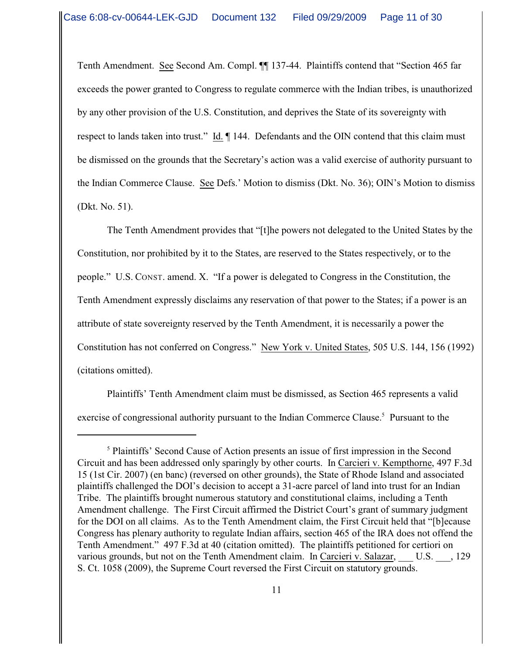Tenth Amendment. See Second Am. Compl. ¶¶ 137-44. Plaintiffs contend that "Section 465 far exceeds the power granted to Congress to regulate commerce with the Indian tribes, is unauthorized by any other provision of the U.S. Constitution, and deprives the State of its sovereignty with respect to lands taken into trust." Id. ¶ 144.Defendants and the OIN contend that this claim must be dismissed on the grounds that the Secretary's action was a valid exercise of authority pursuant to the Indian Commerce Clause. See Defs.' Motion to dismiss (Dkt. No. 36); OIN's Motion to dismiss (Dkt. No. 51).

The Tenth Amendment provides that "[t]he powers not delegated to the United States by the Constitution, nor prohibited by it to the States, are reserved to the States respectively, or to the people." U.S. CONST. amend. X. "If a power is delegated to Congress in the Constitution, the Tenth Amendment expressly disclaims any reservation of that power to the States; if a power is an attribute of state sovereignty reserved by the Tenth Amendment, it is necessarily a power the Constitution has not conferred on Congress." New York v. United States, 505 U.S. 144, 156 (1992) (citations omitted).

Plaintiffs' Tenth Amendment claim must be dismissed, as Section 465 represents a valid exercise of congressional authority pursuant to the Indian Commerce Clause.<sup>5</sup> Pursuant to the

<sup>&</sup>lt;sup>5</sup> Plaintiffs' Second Cause of Action presents an issue of first impression in the Second Circuit and has been addressed only sparingly by other courts. In Carcieri v. Kempthorne, 497 F.3d 15 (1st Cir. 2007) (en banc) (reversed on other grounds), the State of Rhode Island and associated plaintiffs challenged the DOI's decision to accept a 31-acre parcel of land into trust for an Indian Tribe. The plaintiffs brought numerous statutory and constitutional claims, including a Tenth Amendment challenge. The First Circuit affirmed the District Court's grant of summary judgment for the DOI on all claims. As to the Tenth Amendment claim, the First Circuit held that "[b]ecause Congress has plenary authority to regulate Indian affairs, section 465 of the IRA does not offend the Tenth Amendment." 497 F.3d at 40 (citation omitted). The plaintiffs petitioned for certiori on various grounds, but not on the Tenth Amendment claim. In Carcieri v. Salazar, U.S.  $\,$ , 129 S. Ct. 1058 (2009), the Supreme Court reversed the First Circuit on statutory grounds.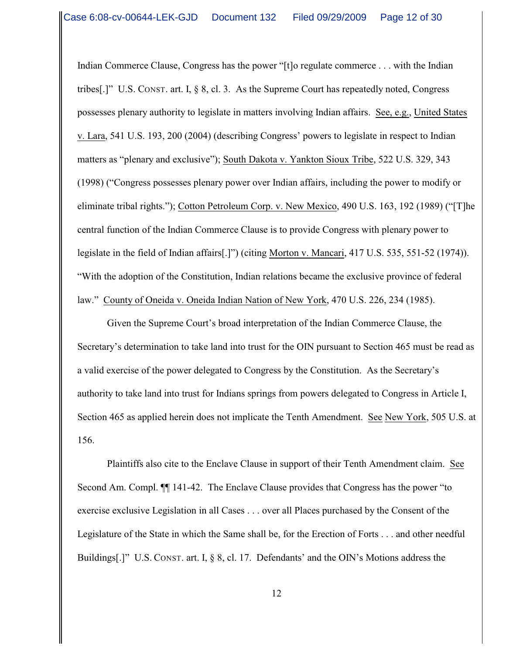Indian Commerce Clause, Congress has the power "[t]o regulate commerce . . . with the Indian tribes[.]" U.S. CONST. art. I,  $\S$  8, cl. 3. As the Supreme Court has repeatedly noted, Congress possesses plenary authority to legislate in matters involving Indian affairs. See, e.g., United States v. Lara, 541 U.S. 193, 200 (2004) (describing Congress' powers to legislate in respect to Indian matters as "plenary and exclusive"); South Dakota v. Yankton Sioux Tribe, 522 U.S. 329, 343 (1998) ("Congress possesses plenary power over Indian affairs, including the power to modify or eliminate tribal rights."); Cotton Petroleum Corp. v. New Mexico, 490 U.S. 163, 192 (1989) ("[T]he central function of the Indian Commerce Clause is to provide Congress with plenary power to legislate in the field of Indian affairs[.]") (citing Morton v. Mancari, 417 U.S. 535, 551-52 (1974)). "With the adoption of the Constitution, Indian relations became the exclusive province of federal law." County of Oneida v. Oneida Indian Nation of New York, 470 U.S. 226, 234 (1985).

Given the Supreme Court's broad interpretation of the Indian Commerce Clause, the Secretary's determination to take land into trust for the OIN pursuant to Section 465 must be read as a valid exercise of the power delegated to Congress by the Constitution. As the Secretary's authority to take land into trust for Indians springs from powers delegated to Congress in Article I, Section 465 as applied herein does not implicate the Tenth Amendment. See New York, 505 U.S. at 156.

Plaintiffs also cite to the Enclave Clause in support of their Tenth Amendment claim. See Second Am. Compl. ¶¶ 141-42. The Enclave Clause provides that Congress has the power "to exercise exclusive Legislation in all Cases . . . over all Places purchased by the Consent of the Legislature of the State in which the Same shall be, for the Erection of Forts . . . and other needful Buildings[.]" U.S. CONST. art. I, § 8, cl. 17. Defendants' and the OIN's Motions address the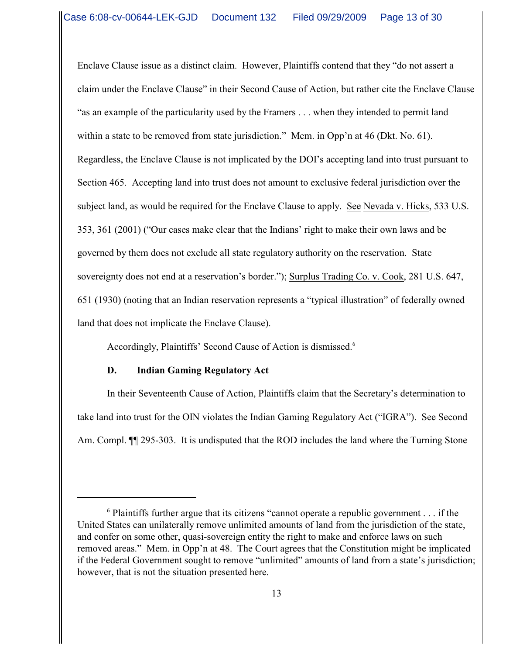Enclave Clause issue as a distinct claim. However, Plaintiffs contend that they "do not assert a claim under the Enclave Clause" in their Second Cause of Action, but rather cite the Enclave Clause "as an example of the particularity used by the Framers . . . when they intended to permit land within a state to be removed from state jurisdiction." Mem. in Opp'n at 46 (Dkt. No. 61). Regardless, the Enclave Clause is not implicated by the DOI's accepting land into trust pursuant to Section 465. Accepting land into trust does not amount to exclusive federal jurisdiction over the subject land, as would be required for the Enclave Clause to apply. See Nevada v. Hicks, 533 U.S. 353, 361 (2001) ("Our cases make clear that the Indians' right to make their own laws and be governed by them does not exclude all state regulatory authority on the reservation. State sovereignty does not end at a reservation's border."); Surplus Trading Co. v. Cook, 281 U.S. 647, 651 (1930) (noting that an Indian reservation represents a "typical illustration" of federally owned land that does not implicate the Enclave Clause).

Accordingly, Plaintiffs' Second Cause of Action is dismissed.<sup>6</sup>

## **D. Indian Gaming Regulatory Act**

In their Seventeenth Cause of Action, Plaintiffs claim that the Secretary's determination to take land into trust for the OIN violates the Indian Gaming Regulatory Act ("IGRA"). See Second Am. Compl.  $\P$  295-303. It is undisputed that the ROD includes the land where the Turning Stone

 $6$  Plaintiffs further argue that its citizens "cannot operate a republic government . . . if the United States can unilaterally remove unlimited amounts of land from the jurisdiction of the state, and confer on some other, quasi-sovereign entity the right to make and enforce laws on such removed areas." Mem. in Opp'n at 48. The Court agrees that the Constitution might be implicated if the Federal Government sought to remove "unlimited" amounts of land from a state's jurisdiction; however, that is not the situation presented here.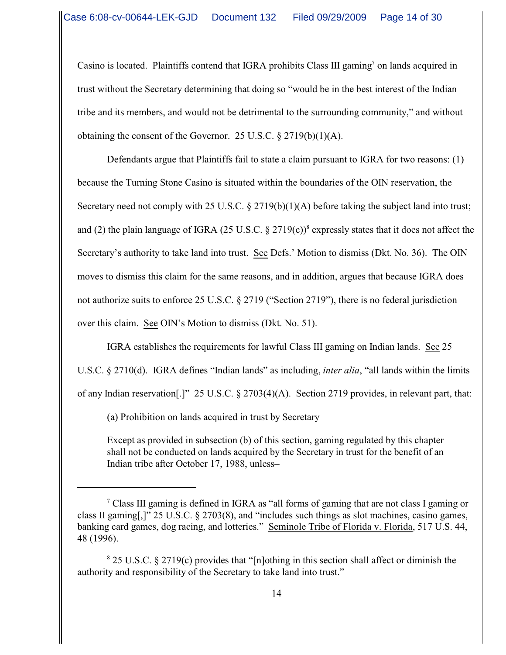Casino is located. Plaintiffs contend that IGRA prohibits Class III gaming<sup>7</sup> on lands acquired in trust without the Secretary determining that doing so "would be in the best interest of the Indian tribe and its members, and would not be detrimental to the surrounding community," and without obtaining the consent of the Governor. 25 U.S.C.  $\S 2719(b)(1)(A)$ .

 Defendants argue that Plaintiffs fail to state a claim pursuant to IGRA for two reasons: (1) because the Turning Stone Casino is situated within the boundaries of the OIN reservation, the Secretary need not comply with 25 U.S.C. § 2719(b)(1)(A) before taking the subject land into trust; and (2) the plain language of IGRA (25 U.S.C.  $\S 2719(c)$ <sup>8</sup> expressly states that it does not affect the Secretary's authority to take land into trust. See Defs.' Motion to dismiss (Dkt. No. 36). The OIN moves to dismiss this claim for the same reasons, and in addition, argues that because IGRA does not authorize suits to enforce 25 U.S.C. § 2719 ("Section 2719"), there is no federal jurisdiction over this claim. See OIN's Motion to dismiss (Dkt. No. 51).

IGRA establishes the requirements for lawful Class III gaming on Indian lands. See 25 U.S.C. § 2710(d). IGRA defines "Indian lands" as including, *inter alia*, "all lands within the limits of any Indian reservation[.]" 25 U.S.C. § 2703(4)(A). Section 2719 provides, in relevant part, that:

(a) Prohibition on lands acquired in trust by Secretary

Except as provided in subsection (b) of this section, gaming regulated by this chapter shall not be conducted on lands acquired by the Secretary in trust for the benefit of an Indian tribe after October 17, 1988, unless–

 $\degree$  Class III gaming is defined in IGRA as "all forms of gaming that are not class I gaming or class II gaming[,]" 25 U.S.C. § 2703(8), and "includes such things as slot machines, casino games, banking card games, dog racing, and lotteries." Seminole Tribe of Florida v. Florida, 517 U.S. 44, 48 (1996).

 $8$  25 U.S.C.  $8$  2719(c) provides that "[n]othing in this section shall affect or diminish the authority and responsibility of the Secretary to take land into trust."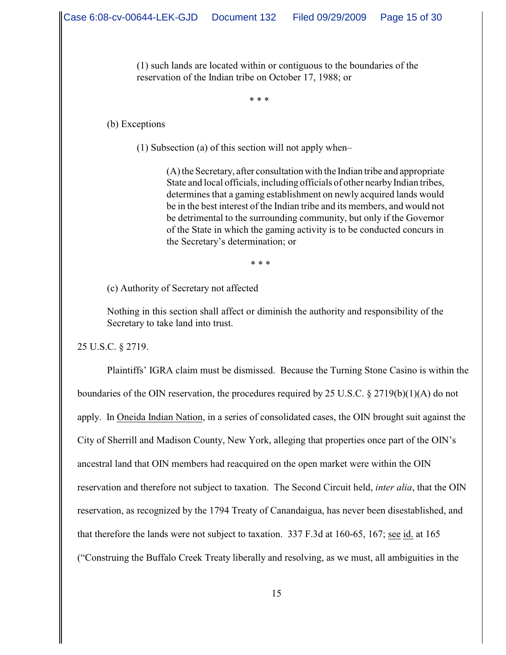(1) such lands are located within or contiguous to the boundaries of the reservation of the Indian tribe on October 17, 1988; or

\* \* \*

(b) Exceptions

(1) Subsection (a) of this section will not apply when–

(A) the Secretary, after consultation with the Indian tribe and appropriate State and local officials, including officials of other nearby Indian tribes, determines that a gaming establishment on newly acquired lands would be in the best interest of the Indian tribe and its members, and would not be detrimental to the surrounding community, but only if the Governor of the State in which the gaming activity is to be conducted concurs in the Secretary's determination; or

\* \* \*

(c) Authority of Secretary not affected

Nothing in this section shall affect or diminish the authority and responsibility of the Secretary to take land into trust.

25 U.S.C. § 2719.

Plaintiffs' IGRA claim must be dismissed. Because the Turning Stone Casino is within the boundaries of the OIN reservation, the procedures required by 25 U.S.C. § 2719(b)(1)(A) do not apply. In Oneida Indian Nation, in a series of consolidated cases, the OIN brought suit against the City of Sherrill and Madison County, New York, alleging that properties once part of the OIN's ancestral land that OIN members had reacquired on the open market were within the OIN reservation and therefore not subject to taxation. The Second Circuit held, *inter alia*, that the OIN reservation, as recognized by the 1794 Treaty of Canandaigua, has never been disestablished, and that therefore the lands were not subject to taxation. 337 F.3d at 160-65, 167; see id. at 165 ("Construing the Buffalo Creek Treaty liberally and resolving, as we must, all ambiguities in the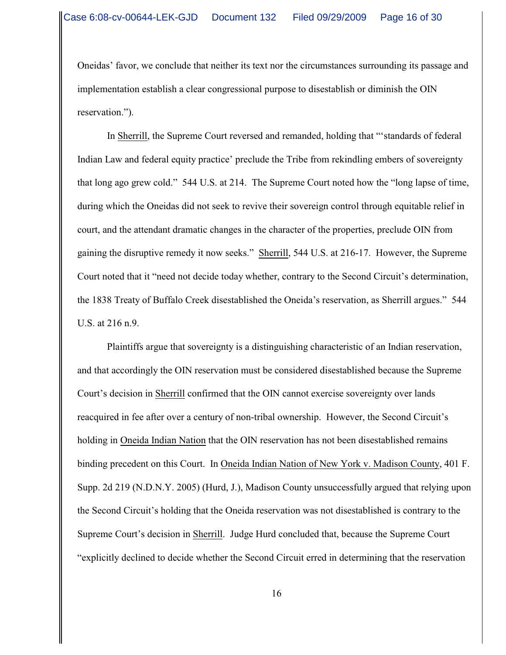Oneidas' favor, we conclude that neither its text nor the circumstances surrounding its passage and implementation establish a clear congressional purpose to disestablish or diminish the OIN reservation.").

In Sherrill, the Supreme Court reversed and remanded, holding that "'standards of federal Indian Law and federal equity practice' preclude the Tribe from rekindling embers of sovereignty that long ago grew cold." 544 U.S. at 214. The Supreme Court noted how the "long lapse of time, during which the Oneidas did not seek to revive their sovereign control through equitable relief in court, and the attendant dramatic changes in the character of the properties, preclude OIN from gaining the disruptive remedy it now seeks." Sherrill, 544 U.S. at 216-17. However, the Supreme Court noted that it "need not decide today whether, contrary to the Second Circuit's determination, the 1838 Treaty of Buffalo Creek disestablished the Oneida's reservation, as Sherrill argues." 544 U.S. at 216 n.9.

Plaintiffs argue that sovereignty is a distinguishing characteristic of an Indian reservation, and that accordingly the OIN reservation must be considered disestablished because the Supreme Court's decision in Sherrill confirmed that the OIN cannot exercise sovereignty over lands reacquired in fee after over a century of non-tribal ownership. However, the Second Circuit's holding in Oneida Indian Nation that the OIN reservation has not been disestablished remains binding precedent on this Court. In Oneida Indian Nation of New York v. Madison County, 401 F. Supp. 2d 219 (N.D.N.Y. 2005) (Hurd, J.), Madison County unsuccessfully argued that relying upon the Second Circuit's holding that the Oneida reservation was not disestablished is contrary to the Supreme Court's decision in Sherrill. Judge Hurd concluded that, because the Supreme Court "explicitly declined to decide whether the Second Circuit erred in determining that the reservation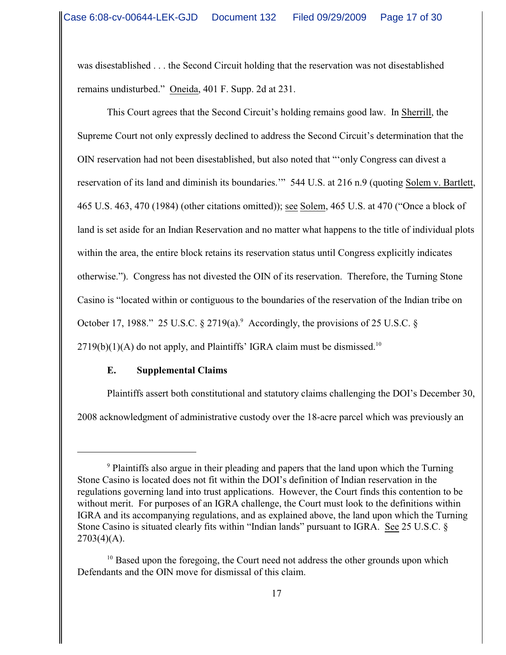was disestablished . . . the Second Circuit holding that the reservation was not disestablished remains undisturbed." Oneida, 401 F. Supp. 2d at 231.

This Court agrees that the Second Circuit's holding remains good law. In Sherrill, the Supreme Court not only expressly declined to address the Second Circuit's determination that the OIN reservation had not been disestablished, but also noted that "'only Congress can divest a reservation of its land and diminish its boundaries.'" 544 U.S. at 216 n.9 (quoting Solem v. Bartlett, 465 U.S. 463, 470 (1984) (other citations omitted)); see Solem, 465 U.S. at 470 ("Once a block of land is set aside for an Indian Reservation and no matter what happens to the title of individual plots within the area, the entire block retains its reservation status until Congress explicitly indicates otherwise."). Congress has not divested the OIN of its reservation. Therefore, the Turning Stone Casino is "located within or contiguous to the boundaries of the reservation of the Indian tribe on October 17, 1988." 25 U.S.C.  $\S 2719(a)$ . Accordingly, the provisions of 25 U.S.C.  $\S$  $2719(b)(1)(A)$  do not apply, and Plaintiffs' IGRA claim must be dismissed.<sup>10</sup>

## **E. Supplemental Claims**

Plaintiffs assert both constitutional and statutory claims challenging the DOI's December 30, 2008 acknowledgment of administrative custody over the 18-acre parcel which was previously an

<sup>&</sup>lt;sup>9</sup> Plaintiffs also argue in their pleading and papers that the land upon which the Turning Stone Casino is located does not fit within the DOI's definition of Indian reservation in the regulations governing land into trust applications. However, the Court finds this contention to be without merit. For purposes of an IGRA challenge, the Court must look to the definitions within IGRA and its accompanying regulations, and as explained above, the land upon which the Turning Stone Casino is situated clearly fits within "Indian lands" pursuant to IGRA. See 25 U.S.C. §  $2703(4)(A)$ .

 $10$  Based upon the foregoing, the Court need not address the other grounds upon which Defendants and the OIN move for dismissal of this claim.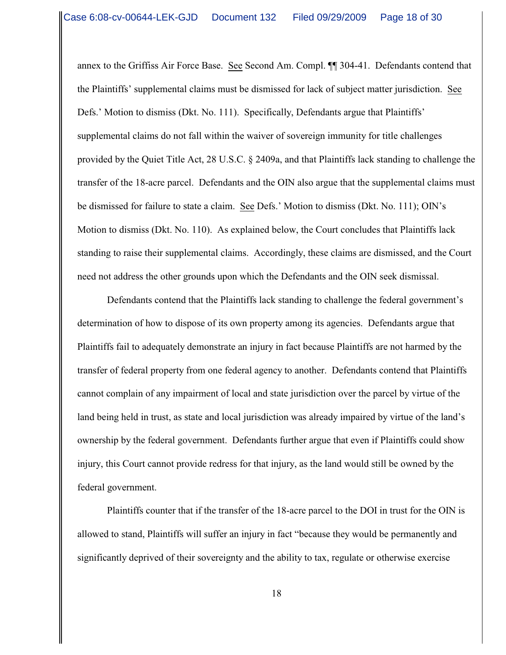annex to the Griffiss Air Force Base. See Second Am. Compl. ¶¶ 304-41. Defendants contend that the Plaintiffs' supplemental claims must be dismissed for lack of subject matter jurisdiction. See Defs.' Motion to dismiss (Dkt. No. 111). Specifically, Defendants argue that Plaintiffs' supplemental claims do not fall within the waiver of sovereign immunity for title challenges provided by the Quiet Title Act, 28 U.S.C. § 2409a, and that Plaintiffs lack standing to challenge the transfer of the 18-acre parcel. Defendants and the OIN also argue that the supplemental claims must be dismissed for failure to state a claim. See Defs.' Motion to dismiss (Dkt. No. 111); OIN's Motion to dismiss (Dkt. No. 110). As explained below, the Court concludes that Plaintiffs lack standing to raise their supplemental claims. Accordingly, these claims are dismissed, and the Court need not address the other grounds upon which the Defendants and the OIN seek dismissal.

Defendants contend that the Plaintiffs lack standing to challenge the federal government's determination of how to dispose of its own property among its agencies. Defendants argue that Plaintiffs fail to adequately demonstrate an injury in fact because Plaintiffs are not harmed by the transfer of federal property from one federal agency to another. Defendants contend that Plaintiffs cannot complain of any impairment of local and state jurisdiction over the parcel by virtue of the land being held in trust, as state and local jurisdiction was already impaired by virtue of the land's ownership by the federal government. Defendants further argue that even if Plaintiffs could show injury, this Court cannot provide redress for that injury, as the land would still be owned by the federal government.

Plaintiffs counter that if the transfer of the 18-acre parcel to the DOI in trust for the OIN is allowed to stand, Plaintiffs will suffer an injury in fact "because they would be permanently and significantly deprived of their sovereignty and the ability to tax, regulate or otherwise exercise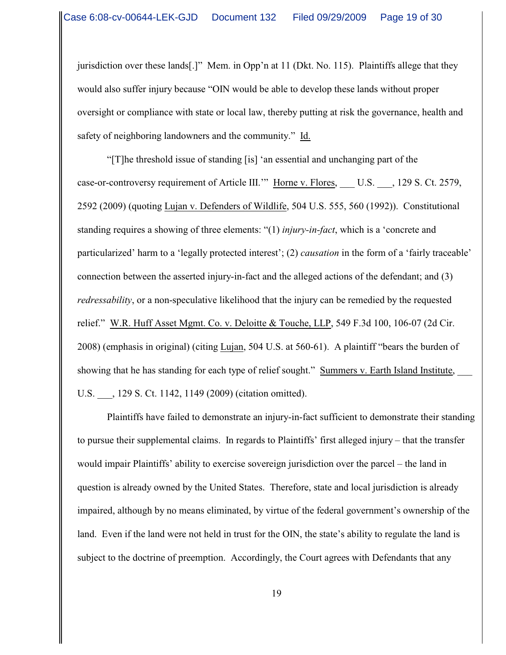jurisdiction over these lands[.]" Mem. in Opp'n at 11 (Dkt. No. 115). Plaintiffs allege that they would also suffer injury because "OIN would be able to develop these lands without proper oversight or compliance with state or local law, thereby putting at risk the governance, health and safety of neighboring landowners and the community." Id.

"[T]he threshold issue of standing [is] 'an essential and unchanging part of the case-or-controversy requirement of Article III."" Horne v. Flores, U.S. , 129 S. Ct. 2579, 2592 (2009) (quoting Lujan v. Defenders of Wildlife, 504 U.S. 555, 560 (1992)). Constitutional standing requires a showing of three elements: "(1) *injury-in-fact*, which is a 'concrete and particularized' harm to a 'legally protected interest'; (2) *causation* in the form of a 'fairly traceable' connection between the asserted injury-in-fact and the alleged actions of the defendant; and (3) *redressability*, or a non-speculative likelihood that the injury can be remedied by the requested relief." W.R. Huff Asset Mgmt. Co. v. Deloitte & Touche, LLP, 549 F.3d 100, 106-07 (2d Cir. 2008) (emphasis in original) (citing Lujan, 504 U.S. at 560-61). A plaintiff "bears the burden of showing that he has standing for each type of relief sought." Summers v. Earth Island Institute, \_\_\_ U.S. , 129 S. Ct. 1142, 1149 (2009) (citation omitted).

Plaintiffs have failed to demonstrate an injury-in-fact sufficient to demonstrate their standing to pursue their supplemental claims. In regards to Plaintiffs' first alleged injury – that the transfer would impair Plaintiffs' ability to exercise sovereign jurisdiction over the parcel – the land in question is already owned by the United States. Therefore, state and local jurisdiction is already impaired, although by no means eliminated, by virtue of the federal government's ownership of the land. Even if the land were not held in trust for the OIN, the state's ability to regulate the land is subject to the doctrine of preemption. Accordingly, the Court agrees with Defendants that any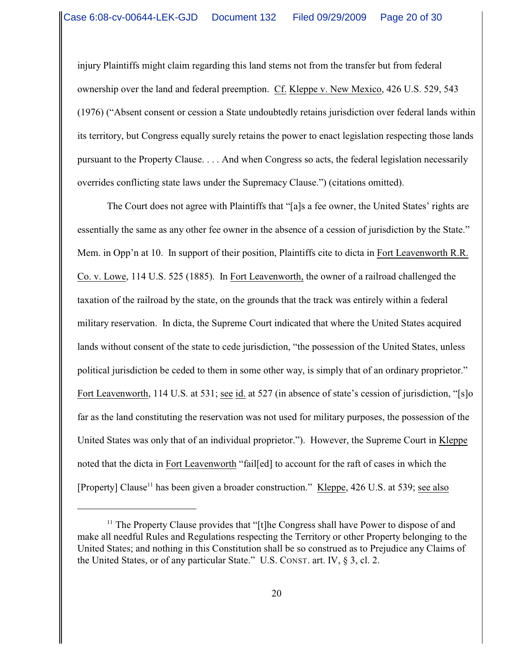injury Plaintiffs might claim regarding this land stems not from the transfer but from federal ownership over the land and federal preemption. Cf. Kleppe v. New Mexico, 426 U.S. 529, 543 (1976) ("Absent consent or cession a State undoubtedly retains jurisdiction over federal lands within its territory, but Congress equally surely retains the power to enact legislation respecting those lands pursuant to the Property Clause. . . . And when Congress so acts, the federal legislation necessarily overrides conflicting state laws under the Supremacy Clause.") (citations omitted).

The Court does not agree with Plaintiffs that "[a]s a fee owner, the United States' rights are essentially the same as any other fee owner in the absence of a cession of jurisdiction by the State." Mem. in Opp'n at 10. In support of their position, Plaintiffs cite to dicta in Fort Leavenworth R.R. Co. v. Lowe, 114 U.S. 525 (1885). In Fort Leavenworth, the owner of a railroad challenged the taxation of the railroad by the state, on the grounds that the track was entirely within a federal military reservation. In dicta, the Supreme Court indicated that where the United States acquired lands without consent of the state to cede jurisdiction, "the possession of the United States, unless political jurisdiction be ceded to them in some other way, is simply that of an ordinary proprietor." Fort Leavenworth, 114 U.S. at 531; see id. at 527 (in absence of state's cession of jurisdiction, "[s]o far as the land constituting the reservation was not used for military purposes, the possession of the United States was only that of an individual proprietor."). However, the Supreme Court in Kleppe noted that the dicta in Fort Leavenworth "fail[ed] to account for the raft of cases in which the [Property] Clause<sup>11</sup> has been given a broader construction." Kleppe,  $426$  U.S. at 539; see also

 $<sup>11</sup>$  The Property Clause provides that "[t]he Congress shall have Power to dispose of and</sup> make all needful Rules and Regulations respecting the Territory or other Property belonging to the United States; and nothing in this Constitution shall be so construed as to Prejudice any Claims of the United States, or of any particular State." U.S. CONST. art. IV, § 3, cl. 2.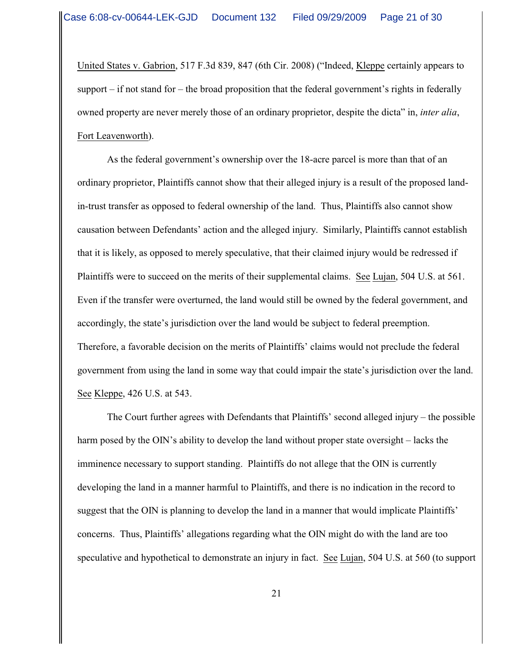United States v. Gabrion, 517 F.3d 839, 847 (6th Cir. 2008) ("Indeed, Kleppe certainly appears to support  $-$  if not stand for  $-$  the broad proposition that the federal government's rights in federally owned property are never merely those of an ordinary proprietor, despite the dicta" in, *inter alia*, Fort Leavenworth).

As the federal government's ownership over the 18-acre parcel is more than that of an ordinary proprietor, Plaintiffs cannot show that their alleged injury is a result of the proposed landin-trust transfer as opposed to federal ownership of the land. Thus, Plaintiffs also cannot show causation between Defendants' action and the alleged injury. Similarly, Plaintiffs cannot establish that it is likely, as opposed to merely speculative, that their claimed injury would be redressed if Plaintiffs were to succeed on the merits of their supplemental claims. See Lujan, 504 U.S. at 561. Even if the transfer were overturned, the land would still be owned by the federal government, and accordingly, the state's jurisdiction over the land would be subject to federal preemption. Therefore, a favorable decision on the merits of Plaintiffs' claims would not preclude the federal government from using the land in some way that could impair the state's jurisdiction over the land. See Kleppe, 426 U.S. at 543.

The Court further agrees with Defendants that Plaintiffs' second alleged injury – the possible harm posed by the OIN's ability to develop the land without proper state oversight – lacks the imminence necessary to support standing. Plaintiffs do not allege that the OIN is currently developing the land in a manner harmful to Plaintiffs, and there is no indication in the record to suggest that the OIN is planning to develop the land in a manner that would implicate Plaintiffs' concerns. Thus, Plaintiffs' allegations regarding what the OIN might do with the land are too speculative and hypothetical to demonstrate an injury in fact. See Lujan, 504 U.S. at 560 (to support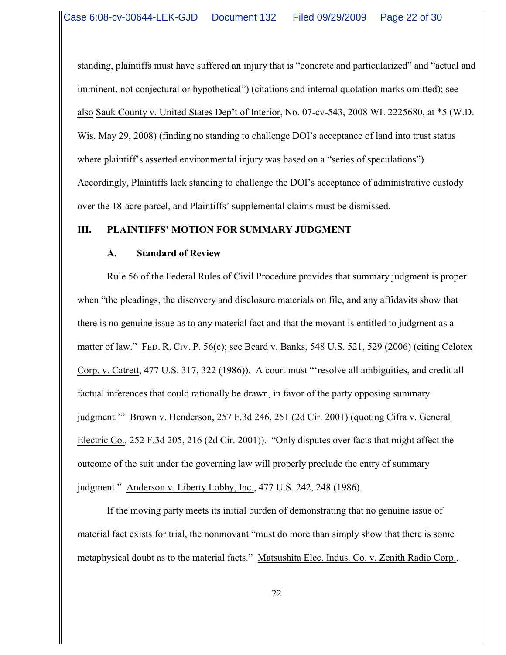standing, plaintiffs must have suffered an injury that is "concrete and particularized" and "actual and imminent, not conjectural or hypothetical") (citations and internal quotation marks omitted); see also Sauk County v. United States Dep't of Interior, No. 07-cv-543, 2008 WL 2225680, at \*5 (W.D. Wis. May 29, 2008) (finding no standing to challenge DOI's acceptance of land into trust status where plaintiff's asserted environmental injury was based on a "series of speculations"). Accordingly, Plaintiffs lack standing to challenge the DOI's acceptance of administrative custody over the 18-acre parcel, and Plaintiffs' supplemental claims must be dismissed.

## **III. PLAINTIFFS' MOTION FOR SUMMARY JUDGMENT**

## **A. Standard of Review**

Rule 56 of the Federal Rules of Civil Procedure provides that summary judgment is proper when "the pleadings, the discovery and disclosure materials on file, and any affidavits show that there is no genuine issue as to any material fact and that the movant is entitled to judgment as a matter of law." FED. R. CIV. P. 56(c); see Beard v. Banks, 548 U.S. 521, 529 (2006) (citing Celotex Corp. v. Catrett, 477 U.S. 317, 322 (1986)). A court must "'resolve all ambiguities, and credit all factual inferences that could rationally be drawn, in favor of the party opposing summary judgment.'" Brown v. Henderson, 257 F.3d 246, 251 (2d Cir. 2001) (quoting Cifra v. General Electric Co., 252 F.3d 205, 216 (2d Cir. 2001)). "Only disputes over facts that might affect the outcome of the suit under the governing law will properly preclude the entry of summary judgment." Anderson v. Liberty Lobby, Inc., 477 U.S. 242, 248 (1986).

If the moving party meets its initial burden of demonstrating that no genuine issue of material fact exists for trial, the nonmovant "must do more than simply show that there is some metaphysical doubt as to the material facts." Matsushita Elec. Indus. Co. v. Zenith Radio Corp.,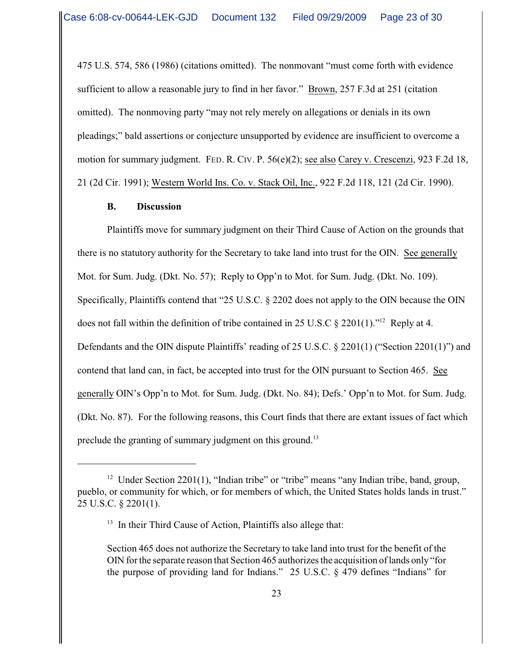475 U.S. 574, 586 (1986) (citations omitted). The nonmovant "must come forth with evidence sufficient to allow a reasonable jury to find in her favor." Brown, 257 F.3d at 251 (citation omitted). The nonmoving party "may not rely merely on allegations or denials in its own pleadings;" bald assertions or conjecture unsupported by evidence are insufficient to overcome a motion for summary judgment. FED. R. CIV. P. 56(e)(2); see also Carey v. Crescenzi, 923 F.2d 18, 21 (2d Cir. 1991); Western World Ins. Co. v. Stack Oil, Inc., 922 F.2d 118, 121 (2d Cir. 1990).

#### **B. Discussion**

Plaintiffs move for summary judgment on their Third Cause of Action on the grounds that there is no statutory authority for the Secretary to take land into trust for the OIN. See generally Mot. for Sum. Judg. (Dkt. No. 57); Reply to Opp'n to Mot. for Sum. Judg. (Dkt. No. 109). Specifically, Plaintiffs contend that "25 U.S.C. § 2202 does not apply to the OIN because the OIN does not fall within the definition of tribe contained in 25 U.S.C  $\S$  2201(1)."<sup>12</sup> Reply at 4. Defendants and the OIN dispute Plaintiffs' reading of 25 U.S.C. § 2201(1) ("Section 2201(1)") and contend that land can, in fact, be accepted into trust for the OIN pursuant to Section 465. See generally OIN's Opp'n to Mot. for Sum. Judg. (Dkt. No. 84); Defs.' Opp'n to Mot. for Sum. Judg. (Dkt. No. 87). For the following reasons, this Court finds that there are extant issues of fact which preclude the granting of summary judgment on this ground.<sup>13</sup>

<sup>&</sup>lt;sup>12</sup> Under Section 2201(1), "Indian tribe" or "tribe" means "any Indian tribe, band, group, pueblo, or community for which, or for members of which, the United States holds lands in trust." 25 U.S.C. § 2201(1).

 $13$  In their Third Cause of Action, Plaintiffs also allege that:

Section 465 does not authorize the Secretary to take land into trust for the benefit of the OIN for the separate reason that Section 465 authorizes the acquisition of lands only "for the purpose of providing land for Indians." 25 U.S.C. § 479 defines "Indians" for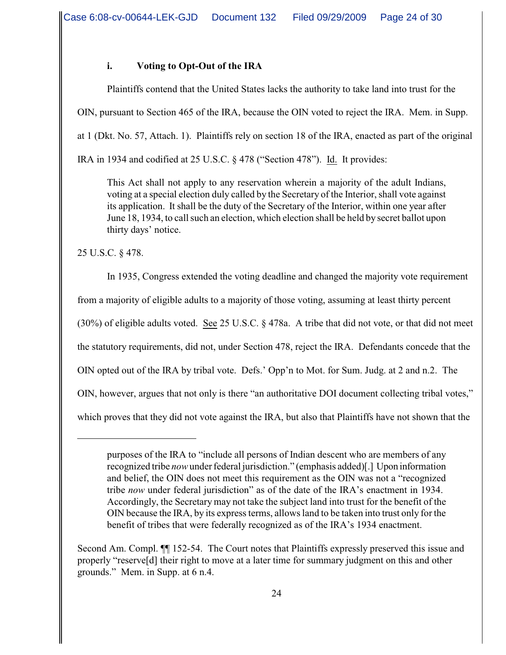# **i. Voting to Opt-Out of the IRA**

Plaintiffs contend that the United States lacks the authority to take land into trust for the OIN, pursuant to Section 465 of the IRA, because the OIN voted to reject the IRA. Mem. in Supp. at 1 (Dkt. No. 57, Attach. 1). Plaintiffs rely on section 18 of the IRA, enacted as part of the original IRA in 1934 and codified at 25 U.S.C. § 478 ("Section 478"). Id. It provides:

This Act shall not apply to any reservation wherein a majority of the adult Indians, voting at a special election duly called by the Secretary of the Interior, shall vote against its application. It shall be the duty of the Secretary of the Interior, within one year after June 18, 1934, to call such an election, which election shall be held by secret ballot upon thirty days' notice.

25 U.S.C. § 478.

In 1935, Congress extended the voting deadline and changed the majority vote requirement from a majority of eligible adults to a majority of those voting, assuming at least thirty percent (30%) of eligible adults voted. See 25 U.S.C. § 478a. A tribe that did not vote, or that did not meet the statutory requirements, did not, under Section 478, reject the IRA. Defendants concede that the OIN opted out of the IRA by tribal vote. Defs.' Opp'n to Mot. for Sum. Judg. at 2 and n.2. The OIN, however, argues that not only is there "an authoritative DOI document collecting tribal votes," which proves that they did not vote against the IRA, but also that Plaintiffs have not shown that the

purposes of the IRA to "include all persons of Indian descent who are members of any recognized tribe *now*under federal jurisdiction." (emphasis added)[.] Upon information and belief, the OIN does not meet this requirement as the OIN was not a "recognized tribe *now* under federal jurisdiction" as of the date of the IRA's enactment in 1934. Accordingly, the Secretary may not take the subject land into trust for the benefit of the OIN because the IRA, by its express terms, allows land to be taken into trust only for the benefit of tribes that were federally recognized as of the IRA's 1934 enactment.

Second Am. Compl. ¶¶ 152-54. The Court notes that Plaintiffs expressly preserved this issue and properly "reserve[d] their right to move at a later time for summary judgment on this and other grounds." Mem. in Supp. at 6 n.4.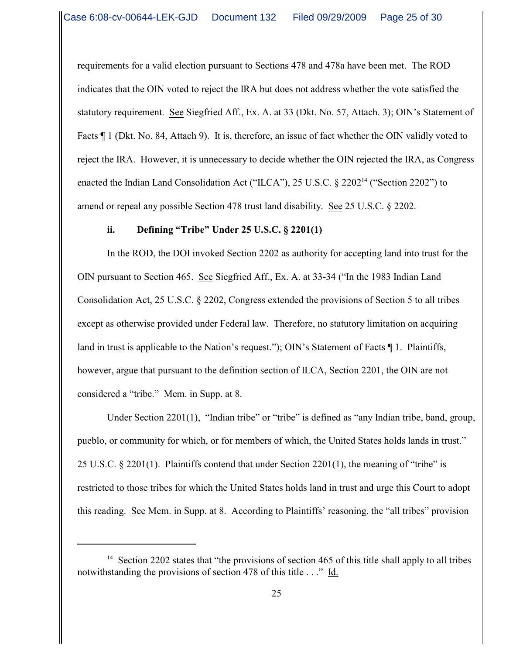requirements for a valid election pursuant to Sections 478 and 478a have been met. The ROD indicates that the OIN voted to reject the IRA but does not address whether the vote satisfied the statutory requirement. See Siegfried Aff., Ex. A. at 33 (Dkt. No. 57, Attach. 3); OIN's Statement of Facts  $\P$  1 (Dkt. No. 84, Attach 9). It is, therefore, an issue of fact whether the OIN validly voted to reject the IRA. However, it is unnecessary to decide whether the OIN rejected the IRA, as Congress enacted the Indian Land Consolidation Act ("ILCA"), 25 U.S.C.  $\S$  2202<sup>14</sup> ("Section 2202") to amend or repeal any possible Section 478 trust land disability. See 25 U.S.C. § 2202.

#### **ii. Defining "Tribe" Under 25 U.S.C. § 2201(1)**

In the ROD, the DOI invoked Section 2202 as authority for accepting land into trust for the OIN pursuant to Section 465. See Siegfried Aff., Ex. A. at 33-34 ("In the 1983 Indian Land Consolidation Act, 25 U.S.C. § 2202, Congress extended the provisions of Section 5 to all tribes except as otherwise provided under Federal law. Therefore, no statutory limitation on acquiring land in trust is applicable to the Nation's request."); OIN's Statement of Facts ¶ 1. Plaintiffs, however, argue that pursuant to the definition section of ILCA, Section 2201, the OIN are not considered a "tribe." Mem. in Supp. at 8.

Under Section 2201(1), "Indian tribe" or "tribe" is defined as "any Indian tribe, band, group, pueblo, or community for which, or for members of which, the United States holds lands in trust." 25 U.S.C. § 2201(1). Plaintiffs contend that under Section 2201(1), the meaning of "tribe" is restricted to those tribes for which the United States holds land in trust and urge this Court to adopt this reading. See Mem. in Supp. at 8. According to Plaintiffs' reasoning, the "all tribes" provision

<sup>&</sup>lt;sup>14</sup> Section 2202 states that "the provisions of section 465 of this title shall apply to all tribes notwithstanding the provisions of section 478 of this title . . ." Id.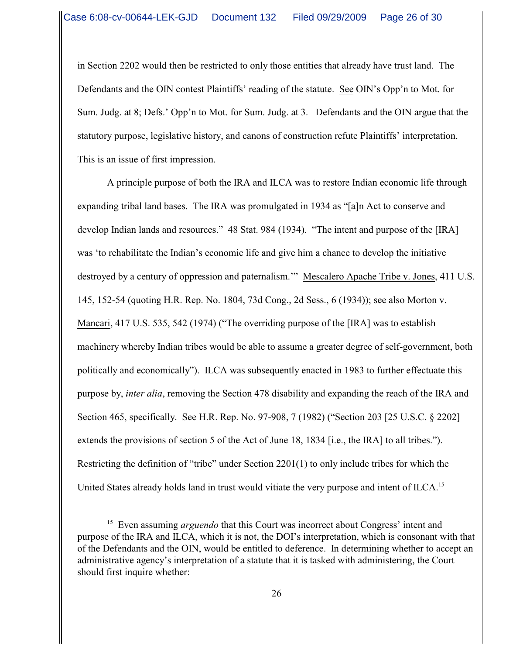in Section 2202 would then be restricted to only those entities that already have trust land. The Defendants and the OIN contest Plaintiffs' reading of the statute. See OIN's Opp'n to Mot. for Sum. Judg. at 8; Defs.' Opp'n to Mot. for Sum. Judg. at 3. Defendants and the OIN argue that the statutory purpose, legislative history, and canons of construction refute Plaintiffs' interpretation. This is an issue of first impression.

A principle purpose of both the IRA and ILCA was to restore Indian economic life through expanding tribal land bases. The IRA was promulgated in 1934 as "[a]n Act to conserve and develop Indian lands and resources." 48 Stat. 984 (1934). "The intent and purpose of the [IRA] was 'to rehabilitate the Indian's economic life and give him a chance to develop the initiative destroyed by a century of oppression and paternalism.'" Mescalero Apache Tribe v. Jones, 411 U.S. 145, 152-54 (quoting H.R. Rep. No. 1804, 73d Cong., 2d Sess., 6 (1934)); see also Morton v. Mancari, 417 U.S. 535, 542 (1974) ("The overriding purpose of the [IRA] was to establish machinery whereby Indian tribes would be able to assume a greater degree of self-government, both politically and economically"). ILCA was subsequently enacted in 1983 to further effectuate this purpose by, *inter alia*, removing the Section 478 disability and expanding the reach of the IRA and Section 465, specifically. See H.R. Rep. No. 97-908, 7 (1982) ("Section 203 [25 U.S.C. § 2202] extends the provisions of section 5 of the Act of June 18, 1834 [i.e., the IRA] to all tribes."). Restricting the definition of "tribe" under Section 2201(1) to only include tribes for which the United States already holds land in trust would vitiate the very purpose and intent of ILCA.<sup>15</sup>

<sup>&</sup>lt;sup>15</sup> Even assuming *arguendo* that this Court was incorrect about Congress' intent and purpose of the IRA and ILCA, which it is not, the DOI's interpretation, which is consonant with that of the Defendants and the OIN, would be entitled to deference. In determining whether to accept an administrative agency's interpretation of a statute that it is tasked with administering, the Court should first inquire whether: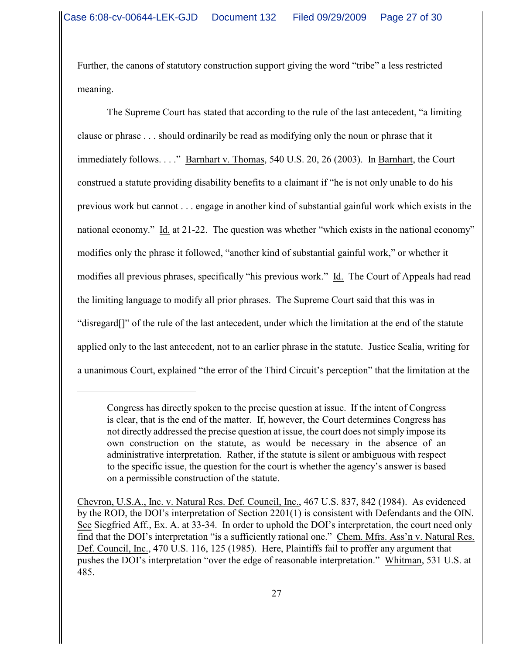Further, the canons of statutory construction support giving the word "tribe" a less restricted meaning.

The Supreme Court has stated that according to the rule of the last antecedent, "a limiting clause or phrase . . . should ordinarily be read as modifying only the noun or phrase that it immediately follows. . . ." Barnhart v. Thomas, 540 U.S. 20, 26 (2003). In Barnhart, the Court construed a statute providing disability benefits to a claimant if "he is not only unable to do his previous work but cannot . . . engage in another kind of substantial gainful work which exists in the national economy." Id. at 21-22. The question was whether "which exists in the national economy" modifies only the phrase it followed, "another kind of substantial gainful work," or whether it modifies all previous phrases, specifically "his previous work." Id. The Court of Appeals had read the limiting language to modify all prior phrases. The Supreme Court said that this was in "disregard[]" of the rule of the last antecedent, under which the limitation at the end of the statute applied only to the last antecedent, not to an earlier phrase in the statute. Justice Scalia, writing for a unanimous Court, explained "the error of the Third Circuit's perception" that the limitation at the

Congress has directly spoken to the precise question at issue. If the intent of Congress is clear, that is the end of the matter. If, however, the Court determines Congress has not directly addressed the precise question at issue, the court does not simply impose its own construction on the statute, as would be necessary in the absence of an administrative interpretation. Rather, if the statute is silent or ambiguous with respect to the specific issue, the question for the court is whether the agency's answer is based on a permissible construction of the statute.

Chevron, U.S.A., Inc. v. Natural Res. Def. Council, Inc., 467 U.S. 837, 842 (1984). As evidenced by the ROD, the DOI's interpretation of Section 2201(1) is consistent with Defendants and the OIN. See Siegfried Aff., Ex. A. at 33-34. In order to uphold the DOI's interpretation, the court need only find that the DOI's interpretation "is a sufficiently rational one." Chem. Mfrs. Ass'n v. Natural Res. Def. Council, Inc., 470 U.S. 116, 125 (1985). Here, Plaintiffs fail to proffer any argument that pushes the DOI's interpretation "over the edge of reasonable interpretation." Whitman, 531 U.S. at 485.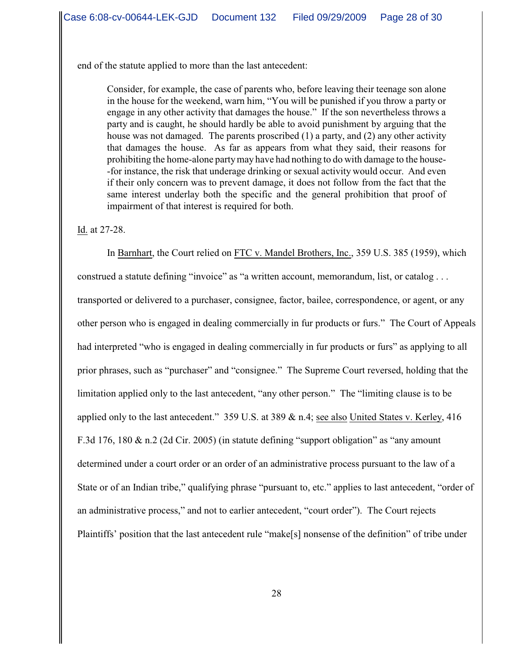end of the statute applied to more than the last antecedent:

Consider, for example, the case of parents who, before leaving their teenage son alone in the house for the weekend, warn him, "You will be punished if you throw a party or engage in any other activity that damages the house." If the son nevertheless throws a party and is caught, he should hardly be able to avoid punishment by arguing that the house was not damaged. The parents proscribed (1) a party, and (2) any other activity that damages the house. As far as appears from what they said, their reasons for prohibiting the home-alone partymay have had nothing to do with damage to the house- -for instance, the risk that underage drinking or sexual activity would occur. And even if their only concern was to prevent damage, it does not follow from the fact that the same interest underlay both the specific and the general prohibition that proof of impairment of that interest is required for both.

Id. at 27-28.

In Barnhart, the Court relied on FTC v. Mandel Brothers, Inc., 359 U.S. 385 (1959), which construed a statute defining "invoice" as "a written account, memorandum, list, or catalog . . . transported or delivered to a purchaser, consignee, factor, bailee, correspondence, or agent, or any other person who is engaged in dealing commercially in fur products or furs." The Court of Appeals had interpreted "who is engaged in dealing commercially in fur products or furs" as applying to all prior phrases, such as "purchaser" and "consignee." The Supreme Court reversed, holding that the limitation applied only to the last antecedent, "any other person." The "limiting clause is to be applied only to the last antecedent." 359 U.S. at 389 & n.4; see also United States v. Kerley, 416 F.3d 176, 180 & n.2 (2d Cir. 2005) (in statute defining "support obligation" as "any amount determined under a court order or an order of an administrative process pursuant to the law of a State or of an Indian tribe," qualifying phrase "pursuant to, etc." applies to last antecedent, "order of an administrative process," and not to earlier antecedent, "court order"). The Court rejects Plaintiffs' position that the last antecedent rule "make[s] nonsense of the definition" of tribe under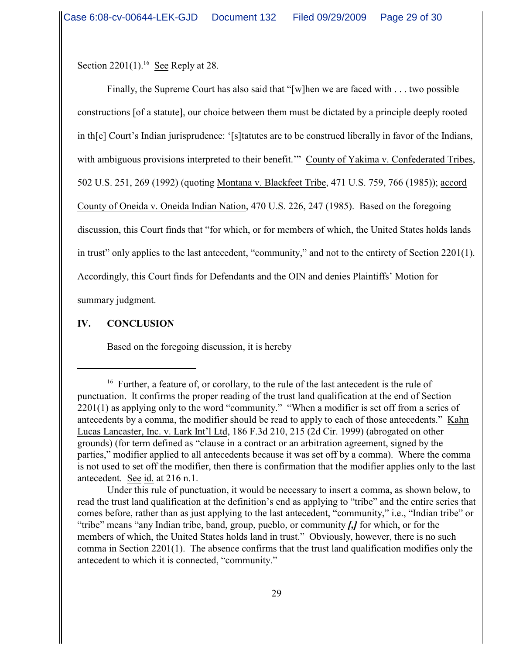Section  $2201(1)$ .<sup>16</sup> See Reply at 28.

Finally, the Supreme Court has also said that "[w]hen we are faced with . . . two possible constructions [of a statute], our choice between them must be dictated by a principle deeply rooted in th[e] Court's Indian jurisprudence: '[s]tatutes are to be construed liberally in favor of the Indians, with ambiguous provisions interpreted to their benefit." County of Yakima v. Confederated Tribes, 502 U.S. 251, 269 (1992) (quoting Montana v. Blackfeet Tribe, 471 U.S. 759, 766 (1985)); accord County of Oneida v. Oneida Indian Nation, 470 U.S. 226, 247 (1985). Based on the foregoing discussion, this Court finds that "for which, or for members of which, the United States holds lands in trust" only applies to the last antecedent, "community," and not to the entirety of Section 2201(1). Accordingly, this Court finds for Defendants and the OIN and denies Plaintiffs' Motion for summary judgment.

# **IV. CONCLUSION**

Based on the foregoing discussion, it is hereby

Under this rule of punctuation, it would be necessary to insert a comma, as shown below, to read the trust land qualification at the definition's end as applying to "tribe" and the entire series that comes before, rather than as just applying to the last antecedent, "community," i.e., "Indian tribe" or "tribe" means "any Indian tribe, band, group, pueblo, or community *[,]* for which, or for the members of which, the United States holds land in trust." Obviously, however, there is no such comma in Section 2201(1). The absence confirms that the trust land qualification modifies only the antecedent to which it is connected, "community."

 $16$  Further, a feature of, or corollary, to the rule of the last antecedent is the rule of punctuation. It confirms the proper reading of the trust land qualification at the end of Section 2201(1) as applying only to the word "community." "When a modifier is set off from a series of antecedents by a comma, the modifier should be read to apply to each of those antecedents." Kahn Lucas Lancaster, Inc. v. Lark Int'l Ltd, 186 F.3d 210, 215 (2d Cir. 1999) (abrogated on other grounds) (for term defined as "clause in a contract or an arbitration agreement, signed by the parties," modifier applied to all antecedents because it was set off by a comma). Where the comma is not used to set off the modifier, then there is confirmation that the modifier applies only to the last antecedent. See id. at 216 n.1.